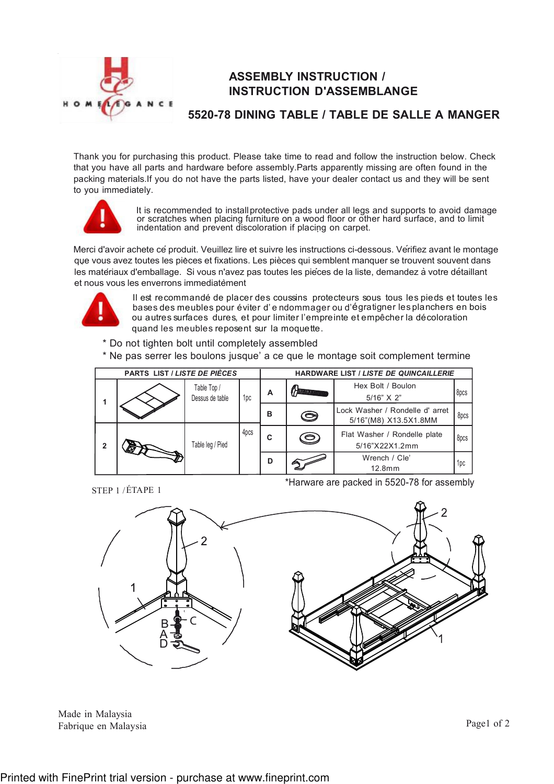

## ASSEMBLY INSTRUCTION / INSTRUCTION D'ASSEMBLANGE

## 5520-78 DINING TABLE / TABLE DE SALLE A MANGER

Thank you for purchasing this product. Please take time to read and follow the instruction below. Check that you have all parts and hardware before assembly.Parts apparently missing are often found in the packing materials.If you do not have the parts listed, have your dealer contact us and they will be sent to you immediately.



It is recommended to install protective pads under all legs and supports to avoid damage or scratches when placing furniture on a wood floor or other hard surface, and to limit indentation and prevent discoloration if placing on carpet. .

Merci d'avoir achete ce produit. Veuillez lire et suivre les instructions ci-dessous. Verifiez avant le montage que vous avez toutes les pièces et fixations. Les pièces qui semblent manquer se trouvent souvent dans que vous avez toutes les pieces et mainents. Les pieces qui combient manquer se treuvent couvent aux<br>les matériaux d'emballage. Si vous n'avez pas toutes les piéces de la liste, demandez à votre détaillant et nous vous les enverrons immediatement `



Il est recommandé de placer des coussins protecteurs sous tous les pieds et toutes les bases des meubles pour éviter d' e ndommager ou d'égratigner les planchers en bois ou autres surfaces dures, et pour limiter l'empreinte et empêcher la décoloration quand les meubles reposent sur la moquette.

\* Do not tighten bolt until completely assembled

\* Ne pas serrer les boulons jusque' a ce que le montage soit complement termine



STEP 1 / ÉTAPE 1

\*Harware are packed in 5520-78 for assembly



Made in Malaysia Fabrique en Malaysia

Page1 of 2